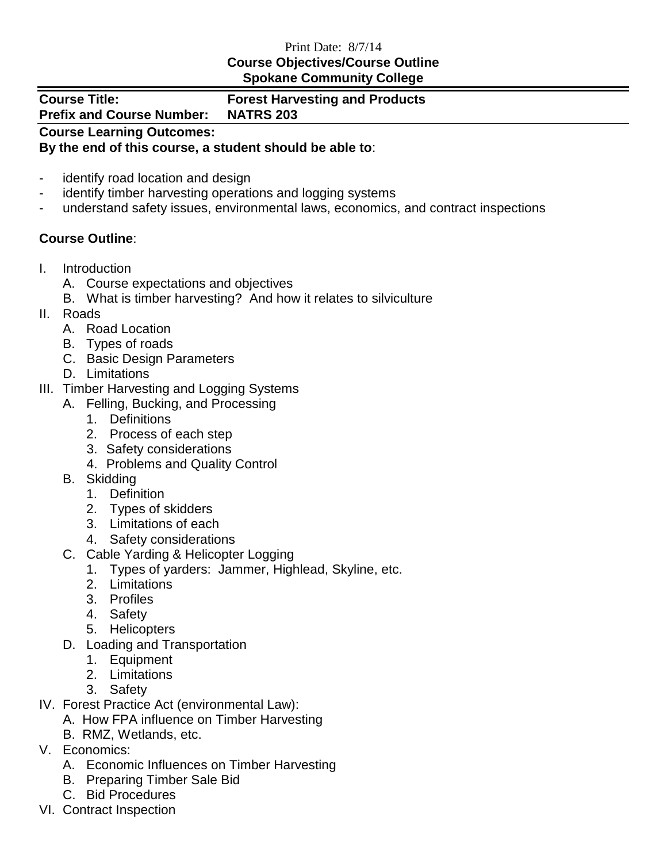## Print Date: 8/7/14 **Course Objectives/Course Outline Spokane Community College**

| <b>Course Title:</b>             | <b>Forest Harvesting and Products</b> |
|----------------------------------|---------------------------------------|
| <b>Prefix and Course Number:</b> | <b>NATRS 203</b>                      |
| <b>Course Learning Outcomes:</b> |                                       |

## **By the end of this course, a student should be able to**:

- identify road location and design
- identify timber harvesting operations and logging systems
- understand safety issues, environmental laws, economics, and contract inspections

## **Course Outline**:

- I. Introduction
	- A. Course expectations and objectives
	- B. What is timber harvesting? And how it relates to silviculture
- II. Roads
	- A. Road Location
	- B. Types of roads
	- C. Basic Design Parameters
	- D. Limitations
- III. Timber Harvesting and Logging Systems
	- A. Felling, Bucking, and Processing
		- 1. Definitions
		- 2. Process of each step
		- 3. Safety considerations
		- 4. Problems and Quality Control
	- B. Skidding
		- 1. Definition
		- 2. Types of skidders
		- 3. Limitations of each
		- 4. Safety considerations
	- C. Cable Yarding & Helicopter Logging
		- 1. Types of yarders: Jammer, Highlead, Skyline, etc.
		- 2. Limitations
		- 3. Profiles
		- 4. Safety
		- 5. Helicopters
	- D. Loading and Transportation
		- 1. Equipment
		- 2. Limitations
		- 3. Safety
- IV. Forest Practice Act (environmental Law):
	- A. How FPA influence on Timber Harvesting
	- B. RMZ, Wetlands, etc.
- V. Economics:
	- A. Economic Influences on Timber Harvesting
	- B. Preparing Timber Sale Bid
	- C. Bid Procedures
- VI. Contract Inspection